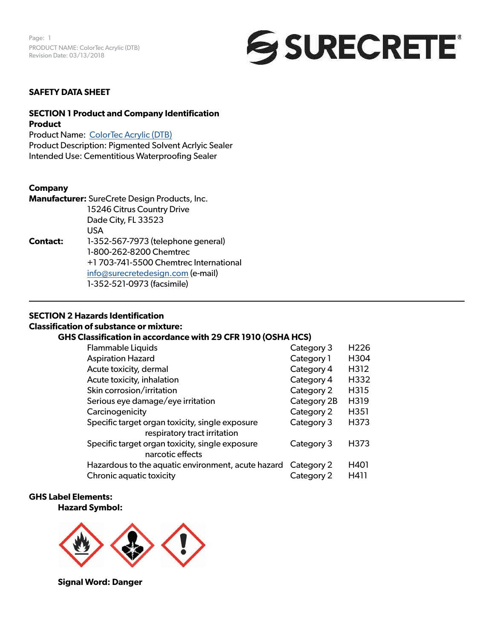

### **SAFETY DATA SHEET**

# **SECTION 1 Product and Company Identification Product**

Product Name: [ColorTec Acrylic \(DTB](https://www.surecretedesign.com/product/exterior-concrete-paint/)) Product Description: Pigmented Solvent Acrlyic Sealer Intended Use: Cementitious Waterproofing Sealer

### **Company**

**Manufacturer:** SureCrete Design Products, Inc. 15246 Citrus Country Drive Dade City, FL 33523 USA **Contact:** 1-352-567-7973 (telephone general) 1-800-262-8200 Chemtrec +1 703-741-5500 Chemtrec International [info@surecretedesign.com](mailto:info%40surecretedesign.com?subject=ColorTec%20Acrylic%20%28DTB%29%20-%20SDS%20Inquiry) (e-mail) 1-352-521-0973 (facsimile)

### **SECTION 2 Hazards Identification**

## **Classification of substance or mixture:**

## **GHS Classification in accordance with 29 CFR 1910 (OSHA HCS)**

| <b>Flammable Liquids</b>                                                        | Category 3  | H <sub>226</sub> |
|---------------------------------------------------------------------------------|-------------|------------------|
| <b>Aspiration Hazard</b>                                                        | Category 1  | H304             |
| Acute toxicity, dermal                                                          | Category 4  | H312             |
| Acute toxicity, inhalation                                                      | Category 4  | H332             |
| Skin corrosion/irritation                                                       | Category 2  | H315             |
| Serious eye damage/eye irritation                                               | Category 2B | H319             |
| Carcinogenicity                                                                 | Category 2  | H351             |
| Specific target organ toxicity, single exposure<br>respiratory tract irritation | Category 3  | H373             |
| Specific target organ toxicity, single exposure<br>narcotic effects             | Category 3  | H373             |
| Hazardous to the aquatic environment, acute hazard                              | Category 2  | H401             |
| Chronic aquatic toxicity                                                        | Category 2  | H411             |

### **GHS Label Elements:**

#### **Hazard Symbol:**



**Signal Word: Danger**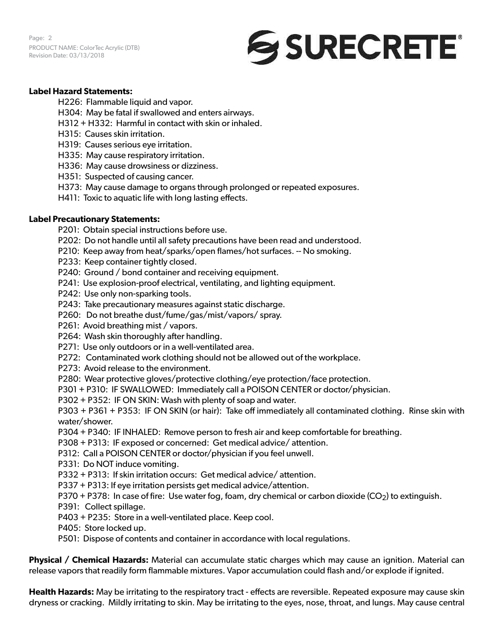Page: 2 PRODUCT NAME: ColorTec Acrylic (DTB) Revision Date: 03/13/2018



## **Label Hazard Statements:**

H226: Flammable liquid and vapor.

- H304: May be fatal if swallowed and enters airways.
- H312 + H332: Harmful in contact with skin or inhaled.
- H315: Causes skin irritation.
- H319: Causes serious eye irritation.
- H335: May cause respiratory irritation.
- H336: May cause drowsiness or dizziness.
- H351: Suspected of causing cancer.
- H373: May cause damage to organs through prolonged or repeated exposures.
- H411: Toxic to aquatic life with long lasting effects.

## **Label Precautionary Statements:**

- P201: Obtain special instructions before use.
- P202: Do not handle until all safety precautions have been read and understood.
- P210: Keep away from heat/sparks/open flames/hot surfaces. -- No smoking.
- P233: Keep container tightly closed.
- P240: Ground / bond container and receiving equipment.
- P241: Use explosion-proof electrical, ventilating, and lighting equipment.
- P242: Use only non-sparking tools.
- P243: Take precautionary measures against static discharge.
- P260: Do not breathe dust/fume/gas/mist/vapors/ spray.
- P261: Avoid breathing mist / vapors.
- P264: Wash skin thoroughly after handling.
- P271: Use only outdoors or in a well-ventilated area.
- P272: Contaminated work clothing should not be allowed out of the workplace.
- P273: Avoid release to the environment.
- P280: Wear protective gloves/protective clothing/eye protection/face protection.
- P301 + P310: IF SWALLOWED: Immediately call a POISON CENTER or doctor/physician.
- P302 + P352: IF ON SKIN: Wash with plenty of soap and water.

P303 + P361 + P353: IF ON SKIN (or hair): Take off immediately all contaminated clothing. Rinse skin with water/shower.

- P304 + P340: IF INHALED: Remove person to fresh air and keep comfortable for breathing.
- P308 + P313: IF exposed or concerned: Get medical advice/ attention.
- P312: Call a POISON CENTER or doctor/physician if you feel unwell.
- P331: Do NOT induce vomiting.
- P332 + P313: If skin irritation occurs: Get medical advice/ attention.
- P337 + P313: If eye irritation persists get medical advice/attention.
- P370 + P378: In case of fire: Use water fog, foam, dry chemical or carbon dioxide ( $CO<sub>2</sub>$ ) to extinguish.
- P391: Collect spillage.
- P403 + P235: Store in a well-ventilated place. Keep cool.
- P405: Store locked up.
- P501: Dispose of contents and container in accordance with local regulations.

**Physical / Chemical Hazards:** Material can accumulate static charges which may cause an ignition. Material can release vapors that readily form flammable mixtures. Vapor accumulation could flash and/or explode if ignited.

**Health Hazards:** May be irritating to the respiratory tract - effects are reversible. Repeated exposure may cause skin dryness or cracking. Mildly irritating to skin. May be irritating to the eyes, nose, throat, and lungs. May cause central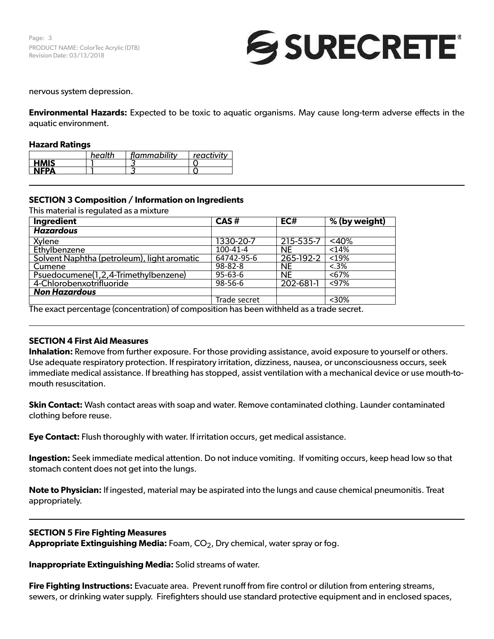Page: 3 PRODUCT NAME: ColorTec Acrylic (DTB) Revision Date: 03/13/2018



### nervous system depression.

**Environmental Hazards:** Expected to be toxic to aquatic organisms. May cause long-term adverse effects in the aquatic environment.

### **Hazard Ratings**

|             | health | flammability | reactivity |
|-------------|--------|--------------|------------|
| <b>HMIS</b> |        |              |            |
| <b>NEPA</b> |        |              |            |

# **SECTION 3 Composition / Information on Ingredients**

This material is regulated as a mixture

| Ingredient                                                             | CAS#          | EC#                                                                                                                                                                                                                            | % (by weight) |
|------------------------------------------------------------------------|---------------|--------------------------------------------------------------------------------------------------------------------------------------------------------------------------------------------------------------------------------|---------------|
| <b>Hazardous</b>                                                       |               |                                                                                                                                                                                                                                |               |
| Xylene                                                                 | 1330-20-7     | 215-535-7                                                                                                                                                                                                                      | $<$ 40%       |
| Ethylbenzene                                                           | 100-41-4      | <b>NE</b>                                                                                                                                                                                                                      | < 14%         |
| Solvent Naphtha (petroleum), light aromatic                            | 64742-95-6    | 265-192-2                                                                                                                                                                                                                      | < 19%         |
| Cumene                                                                 | 98-82-8       | <b>NE</b>                                                                                                                                                                                                                      | $< .3\%$      |
| Psuedocumene(1,2,4-Trimethylbenzene)                                   | $95 - 63 - 6$ | <b>NE</b>                                                                                                                                                                                                                      | < 67%         |
| 4-Chlorobenxotrifluoride                                               | $98 - 56 - 6$ | 202-681-1                                                                                                                                                                                                                      | < 97%         |
| <b>Non Hazardous</b>                                                   |               |                                                                                                                                                                                                                                |               |
|                                                                        | Trade secret  |                                                                                                                                                                                                                                | $<$ 30%       |
| The contract of the contract of the contract of $\Lambda$ of $\Lambda$ | かいしょ しょうしょう   | the bottom of the book of the construction of the construction of the construction of the construction of the construction of the construction of the construction of the construction of the construction of the construction |               |

The exact percentage (concentration) of composition has been withheld as a trade secret.

### **SECTION 4 First Aid Measures**

**Inhalation:** Remove from further exposure. For those providing assistance, avoid exposure to yourself or others. Use adequate respiratory protection. If respiratory irritation, dizziness, nausea, or unconsciousness occurs, seek immediate medical assistance. If breathing has stopped, assist ventilation with a mechanical device or use mouth-tomouth resuscitation.

**Skin Contact:** Wash contact areas with soap and water. Remove contaminated clothing. Launder contaminated clothing before reuse.

**Eye Contact:** Flush thoroughly with water. If irritation occurs, get medical assistance.

**Ingestion:** Seek immediate medical attention. Do not induce vomiting. If vomiting occurs, keep head low so that stomach content does not get into the lungs.

**Note to Physician:** If ingested, material may be aspirated into the lungs and cause chemical pneumonitis. Treat appropriately.

### **SECTION 5 Fire Fighting Measures**

**Appropriate Extinguishing Media:** Foam, CO2, Dry chemical, water spray or fog.

**Inappropriate Extinguishing Media:** Solid streams of water.

**Fire Fighting Instructions:** Evacuate area. Prevent runoff from fire control or dilution from entering streams, sewers, or drinking water supply. Firefighters should use standard protective equipment and in enclosed spaces,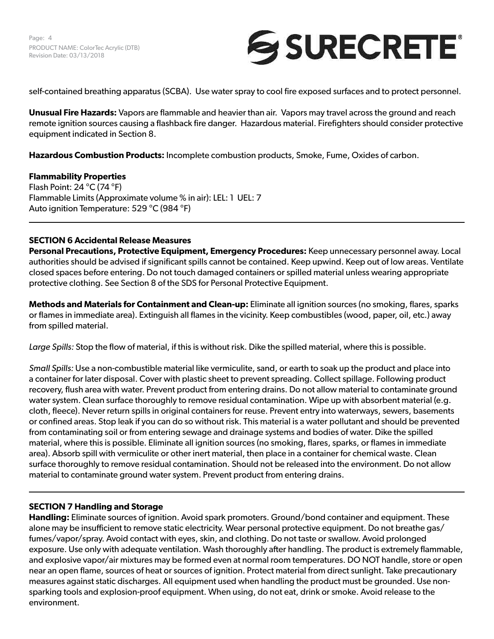

self-contained breathing apparatus (SCBA). Use water spray to cool fire exposed surfaces and to protect personnel.

**Unusual Fire Hazards:** Vapors are flammable and heavier than air. Vapors may travel across the ground and reach remote ignition sources causing a flashback fire danger. Hazardous material. Firefighters should consider protective equipment indicated in Section 8.

**Hazardous Combustion Products:** Incomplete combustion products, Smoke, Fume, Oxides of carbon.

# **Flammability Properties**

Flash Point: 24 °C (74 °F) Flammable Limits (Approximate volume % in air): LEL: 1 UEL: 7 Auto ignition Temperature: 529 °C (984 °F)

# **SECTION 6 Accidental Release Measures**

**Personal Precautions, Protective Equipment, Emergency Procedures:** Keep unnecessary personnel away. Local authorities should be advised if significant spills cannot be contained. Keep upwind. Keep out of low areas. Ventilate closed spaces before entering. Do not touch damaged containers or spilled material unless wearing appropriate protective clothing. See Section 8 of the SDS for Personal Protective Equipment.

**Methods and Materials for Containment and Clean-up:** Eliminate all ignition sources (no smoking, flares, sparks or flames in immediate area). Extinguish all flames in the vicinity. Keep combustibles (wood, paper, oil, etc.) away from spilled material.

*Large Spills:* Stop the flow of material, if this is without risk. Dike the spilled material, where this is possible.

*Small Spills:* Use a non-combustible material like vermiculite, sand, or earth to soak up the product and place into a container for later disposal. Cover with plastic sheet to prevent spreading. Collect spillage. Following product recovery, flush area with water. Prevent product from entering drains. Do not allow material to contaminate ground water system. Clean surface thoroughly to remove residual contamination. Wipe up with absorbent material (e.g. cloth, fleece). Never return spills in original containers for reuse. Prevent entry into waterways, sewers, basements or confined areas. Stop leak if you can do so without risk. This material is a water pollutant and should be prevented from contaminating soil or from entering sewage and drainage systems and bodies of water. Dike the spilled material, where this is possible. Eliminate all ignition sources (no smoking, flares, sparks, or flames in immediate area). Absorb spill with vermiculite or other inert material, then place in a container for chemical waste. Clean surface thoroughly to remove residual contamination. Should not be released into the environment. Do not allow material to contaminate ground water system. Prevent product from entering drains.

## **SECTION 7 Handling and Storage**

**Handling:** Eliminate sources of ignition. Avoid spark promoters. Ground/bond container and equipment. These alone may be insufficient to remove static electricity. Wear personal protective equipment. Do not breathe gas/ fumes/vapor/spray. Avoid contact with eyes, skin, and clothing. Do not taste or swallow. Avoid prolonged exposure. Use only with adequate ventilation. Wash thoroughly after handling. The product is extremely flammable, and explosive vapor/air mixtures may be formed even at normal room temperatures. DO NOT handle, store or open near an open flame, sources of heat or sources of ignition. Protect material from direct sunlight. Take precautionary measures against static discharges. All equipment used when handling the product must be grounded. Use nonsparking tools and explosion-proof equipment. When using, do not eat, drink or smoke. Avoid release to the environment.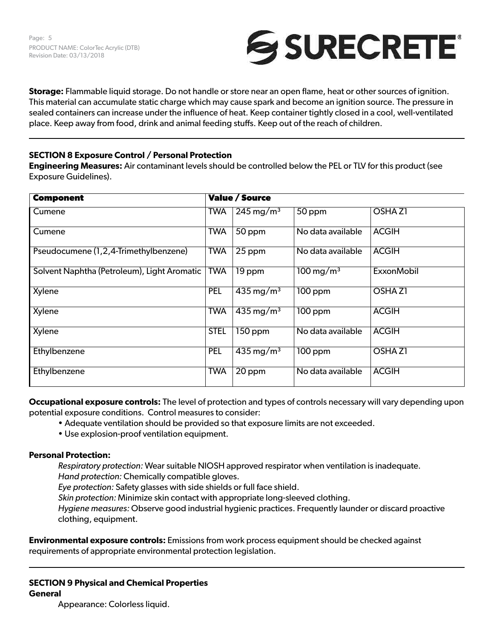

**Storage:** Flammable liquid storage. Do not handle or store near an open flame, heat or other sources of ignition. This material can accumulate static charge which may cause spark and become an ignition source. The pressure in sealed containers can increase under the influence of heat. Keep container tightly closed in a cool, well-ventilated place. Keep away from food, drink and animal feeding stuffs. Keep out of the reach of children.

# **SECTION 8 Exposure Control / Personal Protection**

**Engineering Measures:** Air contaminant levels should be controlled below the PEL or TLV for this product (see Exposure Guidelines).

| <b>Component</b>                            |             | <b>Value / Source</b>   |                         |                    |
|---------------------------------------------|-------------|-------------------------|-------------------------|--------------------|
| Cumene                                      | <b>TWA</b>  | $245 \,\mathrm{mg/m^3}$ | $50$ ppm                | <b>OSHAZ1</b>      |
| Cumene                                      | <b>TWA</b>  | 50 ppm                  | No data available       | <b>ACGIH</b>       |
| Pseudocumene (1,2,4-Trimethylbenzene)       | <b>TWA</b>  | 25 ppm                  | No data available       | <b>ACGIH</b>       |
| Solvent Naphtha (Petroleum), Light Aromatic | <b>TWA</b>  | 19 ppm                  | $100 \,\mathrm{mg/m^3}$ | <b>ExxonMobil</b>  |
| Xylene                                      | <b>PEL</b>  | 435 mg/m <sup>3</sup>   | 100 ppm                 | OSHA <sub>Z1</sub> |
| Xylene                                      | <b>TWA</b>  | 435 mg/m <sup>3</sup>   | $100$ ppm               | <b>ACGIH</b>       |
| Xylene                                      | <b>STEL</b> | 150 ppm                 | No data available       | <b>ACGIH</b>       |
| Ethylbenzene                                | <b>PEL</b>  | 435 mg/m <sup>3</sup>   | $100$ ppm               | <b>OSHAZI</b>      |
| Ethylbenzene                                | <b>TWA</b>  | 20 ppm                  | No data available       | <b>ACGIH</b>       |

**Occupational exposure controls:** The level of protection and types of controls necessary will vary depending upon potential exposure conditions. Control measures to consider:

- Adequate ventilation should be provided so that exposure limits are not exceeded.
- Use explosion-proof ventilation equipment.

# **Personal Protection:**

*Respiratory protection:* Wear suitable NIOSH approved respirator when ventilation is inadequate. *Hand protection:* Chemically compatible gloves.

*Eye protection:* Safety glasses with side shields or full face shield.

*Skin protection:* Minimize skin contact with appropriate long-sleeved clothing.

*Hygiene measures:* Observe good industrial hygienic practices. Frequently launder or discard proactive clothing, equipment.

**Environmental exposure controls:** Emissions from work process equipment should be checked against requirements of appropriate environmental protection legislation.

# **SECTION 9 Physical and Chemical Properties General**

Appearance: Colorless liquid.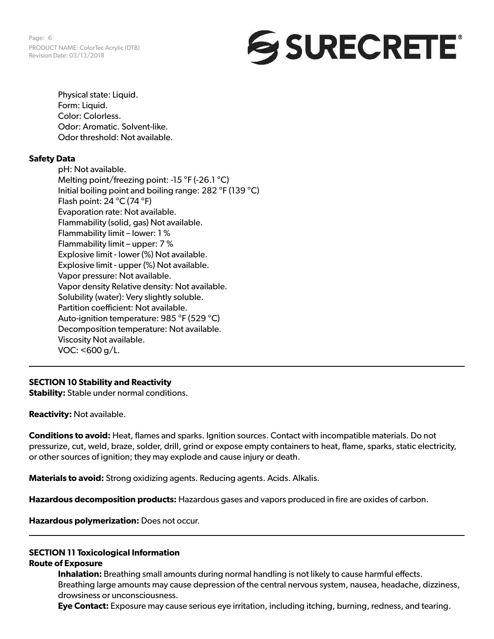Page: 6 PRODUCT NAME: ColorTec Acrylic (DTB) Revision Date: 03/13/2018



Physical state: Liquid. Form: Liquid. Color: Colorless. Odor: Aromatic. Solvent-like. Odor threshold: Not available.

### **Safety Data**

pH: Not available. Melting point/freezing point: -15 °F (-26.1 °C) Initial boiling point and boiling range: 282 °F (139 °C) Flash point: 24 °C (74 °F) Evaporation rate: Not available. Flammability (solid, gas) Not available. Flammability limit – lower: 1 % Flammability limit – upper: 7 % Explosive limit - lower (%) Not available. Explosive limit - upper (%) Not available. Vapor pressure: Not available. Vapor density Relative density: Not available. Solubility (water): Very slightly soluble. Partition coefficient: Not available. Auto-ignition temperature: 985 °F (529 °C) Decomposition temperature: Not available. Viscosity Not available. VOC: <600 g/L.

## **SECTION 10 Stability and Reactivity**

**Stability:** Stable under normal conditions.

**Reactivity:** Not available.

**Conditions to avoid:** Heat, flames and sparks. Ignition sources. Contact with incompatible materials. Do not pressurize, cut, weld, braze, solder, drill, grind or expose empty containers to heat, flame, sparks, static electricity, or other sources of ignition; they may explode and cause injury or death.

**Materials to avoid:** Strong oxidizing agents. Reducing agents. Acids. Alkalis.

**Hazardous decomposition products:** Hazardous gases and vapors produced in fire are oxides of carbon.

**Hazardous polymerization:** Does not occur.

## **SECTION 11 Toxicological Information**

### **Route of Exposure**

**Inhalation:** Breathing small amounts during normal handling is not likely to cause harmful effects. Breathing large amounts may cause depression of the central nervous system, nausea, headache, dizziness, drowsiness or unconsciousness.

**Eye Contact:** Exposure may cause serious eye irritation, including itching, burning, redness, and tearing.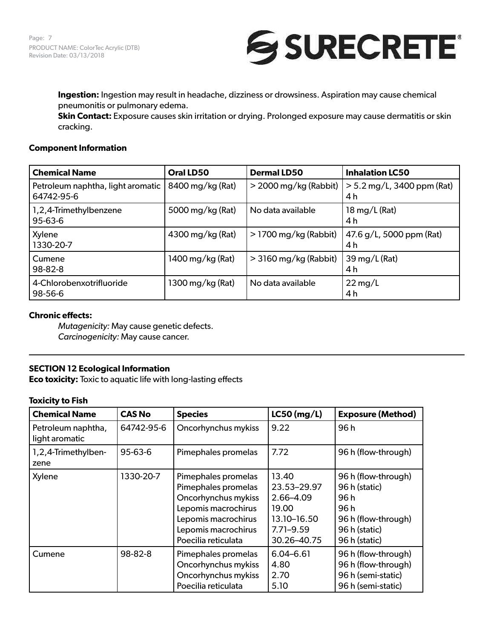

**Ingestion:** Ingestion may result in headache, dizziness or drowsiness. Aspiration may cause chemical pneumonitis or pulmonary edema.

**Skin Contact:** Exposure causes skin irritation or drying. Prolonged exposure may cause dermatitis or skin cracking.

### **Component Information**

| <b>Chemical Name</b>                            | Oral LD50        | <b>Dermal LD50</b>      | <b>Inhalation LC50</b>                       |
|-------------------------------------------------|------------------|-------------------------|----------------------------------------------|
| Petroleum naphtha, light aromatic<br>64742-95-6 | 8400 mg/kg (Rat) | $>$ 2000 mg/kg (Rabbit) | $> 5.2$ mg/L, 3400 ppm (Rat)<br>4 h          |
| 1,2,4-Trimethylbenzene<br>$95 - 63 - 6$         | 5000 mg/kg (Rat) | No data available       | $18 \,\mathrm{mg/L}$ (Rat)<br>4 <sub>h</sub> |
| Xylene<br>1330-20-7                             | 4300 mg/kg (Rat) | $>$ 1700 mg/kg (Rabbit) | $47.6$ g/L, 5000 ppm (Rat)<br>4 <sub>h</sub> |
| Cumene<br>98-82-8                               | 1400 mg/kg (Rat) | $>$ 3160 mg/kg (Rabbit) | 39 mg/L (Rat)<br>4 h                         |
| 4-Chlorobenxotrifluoride<br>98-56-6             | 1300 mg/kg (Rat) | No data available       | $22 \,\mathrm{mg/L}$<br>4 <sub>h</sub>       |

## **Chronic effects:**

*Mutagenicity:* May cause genetic defects. *Carcinogenicity:* May cause cancer.

## **SECTION 12 Ecological Information**

**Eco toxicity:** Toxic to aquatic life with long-lasting effects

### **Toxicity to Fish**

| <b>Chemical Name</b>                 | <b>CAS No</b> | <b>Species</b>                                                                                                                                                | $LC50$ (mg/L)                                                                             | <b>Exposure (Method)</b>                                                                                    |
|--------------------------------------|---------------|---------------------------------------------------------------------------------------------------------------------------------------------------------------|-------------------------------------------------------------------------------------------|-------------------------------------------------------------------------------------------------------------|
| Petroleum naphtha,<br>light aromatic | 64742-95-6    | Oncorhynchus mykiss                                                                                                                                           | 9.22                                                                                      | 96h                                                                                                         |
| 1,2,4-Trimethylben-<br>zene          | 95-63-6       | Pimephales promelas                                                                                                                                           | 7.72                                                                                      | 96 h (flow-through)                                                                                         |
| Xylene                               | 1330-20-7     | Pimephales promelas<br>Pimephales promelas<br>Oncorhynchus mykiss<br>Lepomis macrochirus<br>Lepomis macrochirus<br>Lepomis macrochirus<br>Poecilia reticulata | 13.40<br>23.53-29.97<br>2.66-4.09<br>19.00<br>13.10-16.50<br>$7.71 - 9.59$<br>30.26-40.75 | 96 h (flow-through)<br>96 h (static)<br>96h<br>96h<br>96 h (flow-through)<br>96 h (static)<br>96 h (static) |
| Cumene                               | 98-82-8       | Pimephales promelas<br>Oncorhynchus mykiss<br>Oncorhynchus mykiss<br>Poecilia reticulata                                                                      | $6.04 - 6.61$<br>4.80<br>2.70<br>5.10                                                     | 96 h (flow-through)<br>96 h (flow-through)<br>96 h (semi-static)<br>96 h (semi-static)                      |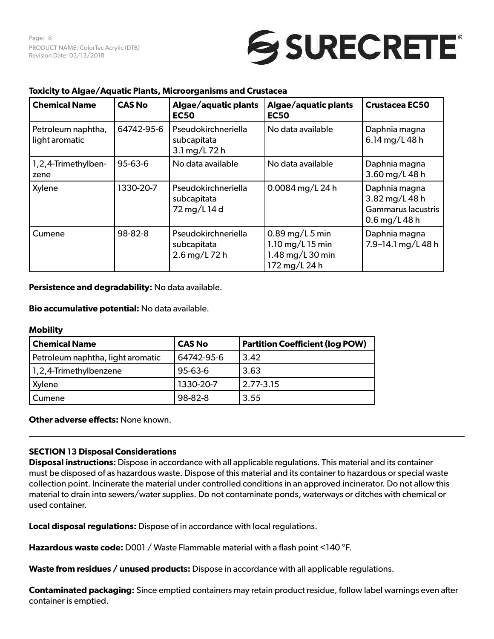# SURECRETE®

| <b>Chemical Name</b>                 | <b>CAS No</b> | Algae/aquatic plants<br><b>EC50</b>                 | Algae/aquatic plants<br><b>EC50</b>                                          | <b>Crustacea EC50</b>                                                  |
|--------------------------------------|---------------|-----------------------------------------------------|------------------------------------------------------------------------------|------------------------------------------------------------------------|
| Petroleum naphtha,<br>light aromatic | 64742-95-6    | Pseudokirchneriella<br>subcapitata<br>3.1 mg/L 72 h | No data available                                                            | Daphnia magna<br>6.14 mg/L 48 h                                        |
| 1,2,4-Trimethylben-<br>zene          | 95-63-6       | No data available                                   | No data available                                                            | Daphnia magna<br>3.60 mg/L 48 h                                        |
| Xylene                               | 1330-20-7     | Pseudokirchneriella<br>subcapitata<br>72 mg/L 14 d  | 0.0084 mg/L 24 h                                                             | Daphnia magna<br>3.82 mg/L 48 h<br>Gammarus lacustris<br>0.6 mg/L 48 h |
| Cumene                               | 98-82-8       | Pseudokirchneriella<br>subcapitata<br>2.6 mg/L 72 h | $0.89$ mg/L 5 min<br>$1.10$ mg/L 15 min<br>1.48 mg/L 30 min<br>172 mg/L 24 h | Daphnia magna<br>7.9-14.1 mg/L 48 h                                    |

## **Toxicity to Algae/Aquatic Plants, Microorganisms and Crustacea**

**Persistence and degradability:** No data available.

## **Bio accumulative potential:** No data available.

### **Mobility**

| <b>Chemical Name</b>              | <b>CAS No</b> | <b>Partition Coefficient (log POW)</b> |
|-----------------------------------|---------------|----------------------------------------|
| Petroleum naphtha, light aromatic | 64742-95-6    | 3.42                                   |
| 1,2,4-Trimethylbenzene            | $95 - 63 - 6$ | 3.63                                   |
| Xylene                            | 1330-20-7     | 2.77-3.15                              |
| Cumene                            | 98-82-8       | 3.55                                   |

**Other adverse effects:** None known.

## **SECTION 13 Disposal Considerations**

**Disposal instructions:** Dispose in accordance with all applicable regulations. This material and its container must be disposed of as hazardous waste. Dispose of this material and its container to hazardous or special waste collection point. Incinerate the material under controlled conditions in an approved incinerator. Do not allow this material to drain into sewers/water supplies. Do not contaminate ponds, waterways or ditches with chemical or used container.

**Local disposal regulations:** Dispose of in accordance with local regulations.

**Hazardous waste code:** D001 / Waste Flammable material with a flash point <140 °F.

**Waste from residues / unused products:** Dispose in accordance with all applicable regulations.

**Contaminated packaging:** Since emptied containers may retain product residue, follow label warnings even after container is emptied.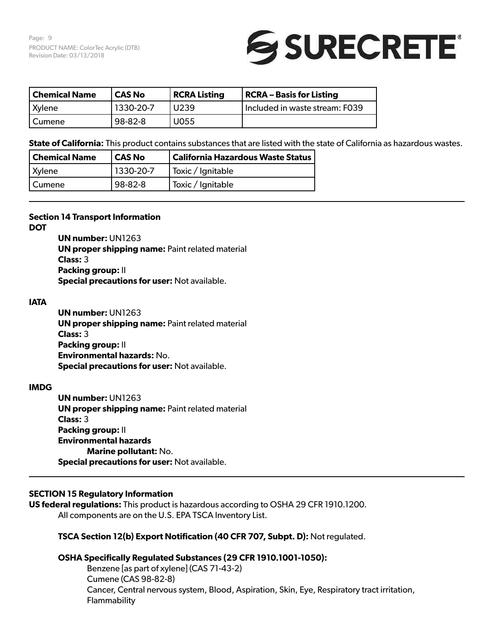Page: 9 PRODUCT NAME: ColorTec Acrylic (DTB) Revision Date: 03/13/2018



| Chemical Name | <b>CAS No</b> | <b>RCRA Listing</b> | <b>RCRA – Basis for Listing</b>  |
|---------------|---------------|---------------------|----------------------------------|
| <b>Xylene</b> | 1330-20-7     | U <sub>239</sub>    | l Included in waste stream: F039 |
| I Cumene      | 98-82-8       | U055                |                                  |

**State of California:** This product contains substances that are listed with the state of California as hazardous wastes.

| <b>Chemical Name</b> | CAS No    | California Hazardous Waste Status |
|----------------------|-----------|-----------------------------------|
| Xylene               | 1330-20-7 | Toxic / Ignitable                 |
| Cumene               | 98-82-8   | Toxic / Ignitable                 |

### **Section 14 Transport Information**

**DOT**

**UN number:** UN1263 **UN proper shipping name: Paint related material Class:** 3 **Packing group:** II **Special precautions for user:** Not available.

### **IATA**

**UN number:** UN1263 **UN proper shipping name: Paint related material Class:** 3 **Packing group:** II **Environmental hazards:** No. **Special precautions for user:** Not available.

## **IMDG**

**UN number:** UN1263 **UN proper shipping name: Paint related material Class:** 3 **Packing group:** II **Environmental hazards Marine pollutant:** No. **Special precautions for user:** Not available.

## **SECTION 15 Regulatory Information**

**US federal regulations:** This product is hazardous according to OSHA 29 CFR 1910.1200. All components are on the U.S. EPA TSCA Inventory List.

## **TSCA Section 12(b) Export Notification (40 CFR 707, Subpt. D):** Not regulated.

## **OSHA Specifically Regulated Substances (29 CFR 1910.1001-1050):**

Benzene [as part of xylene] (CAS 71-43-2) Cumene (CAS 98-82-8) Cancer, Central nervous system, Blood, Aspiration, Skin, Eye, Respiratory tract irritation, Flammability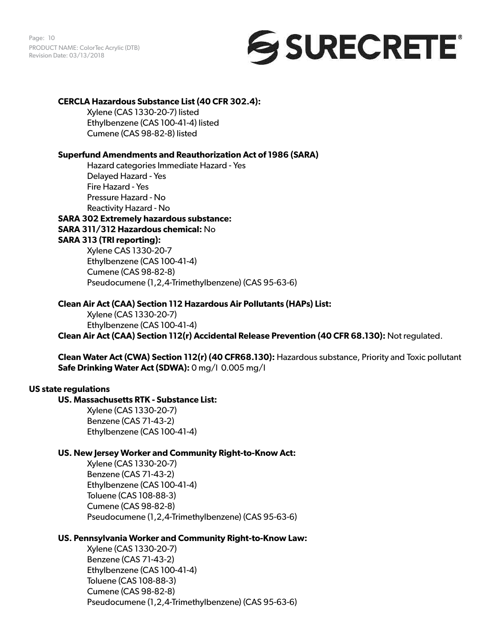Page: 10 PRODUCT NAME: ColorTec Acrylic (DTB) Revision Date: 03/13/2018



## **CERCLA Hazardous Substance List (40 CFR 302.4):**

Xylene (CAS 1330-20-7) listed Ethylbenzene (CAS 100-41-4) listed Cumene (CAS 98-82-8) listed

## **Superfund Amendments and Reauthorization Act of 1986 (SARA)**

Hazard categories Immediate Hazard - Yes Delayed Hazard - Yes Fire Hazard - Yes Pressure Hazard - No Reactivity Hazard - No

# **SARA 302 Extremely hazardous substance: SARA 311/312 Hazardous chemical:** No **SARA 313 (TRI reporting):**  Xylene CAS 1330-20-7

Ethylbenzene (CAS 100-41-4) Cumene (CAS 98-82-8) Pseudocumene (1,2,4-Trimethylbenzene) (CAS 95-63-6)

### **Clean Air Act (CAA) Section 112 Hazardous Air Pollutants (HAPs) List:**

Xylene (CAS 1330-20-7) Ethylbenzene (CAS 100-41-4) **Clean Air Act (CAA) Section 112(r) Accidental Release Prevention (40 CFR 68.130):** Not regulated.

**Clean Water Act (CWA) Section 112(r) (40 CFR68.130):** Hazardous substance, Priority and Toxic pollutant **Safe Drinking Water Act (SDWA):** 0 mg/l 0.005 mg/l

### **US state regulations**

## **US. Massachusetts RTK - Substance List:**

Xylene (CAS 1330-20-7) Benzene (CAS 71-43-2) Ethylbenzene (CAS 100-41-4)

### **US. New Jersey Worker and Community Right-to-Know Act:**

Xylene (CAS 1330-20-7) Benzene (CAS 71-43-2) Ethylbenzene (CAS 100-41-4) Toluene (CAS 108-88-3) Cumene (CAS 98-82-8) Pseudocumene (1,2,4-Trimethylbenzene) (CAS 95-63-6)

## **US. Pennsylvania Worker and Community Right-to-Know Law:**

Xylene (CAS 1330-20-7) Benzene (CAS 71-43-2) Ethylbenzene (CAS 100-41-4) Toluene (CAS 108-88-3) Cumene (CAS 98-82-8) Pseudocumene (1,2,4-Trimethylbenzene) (CAS 95-63-6)